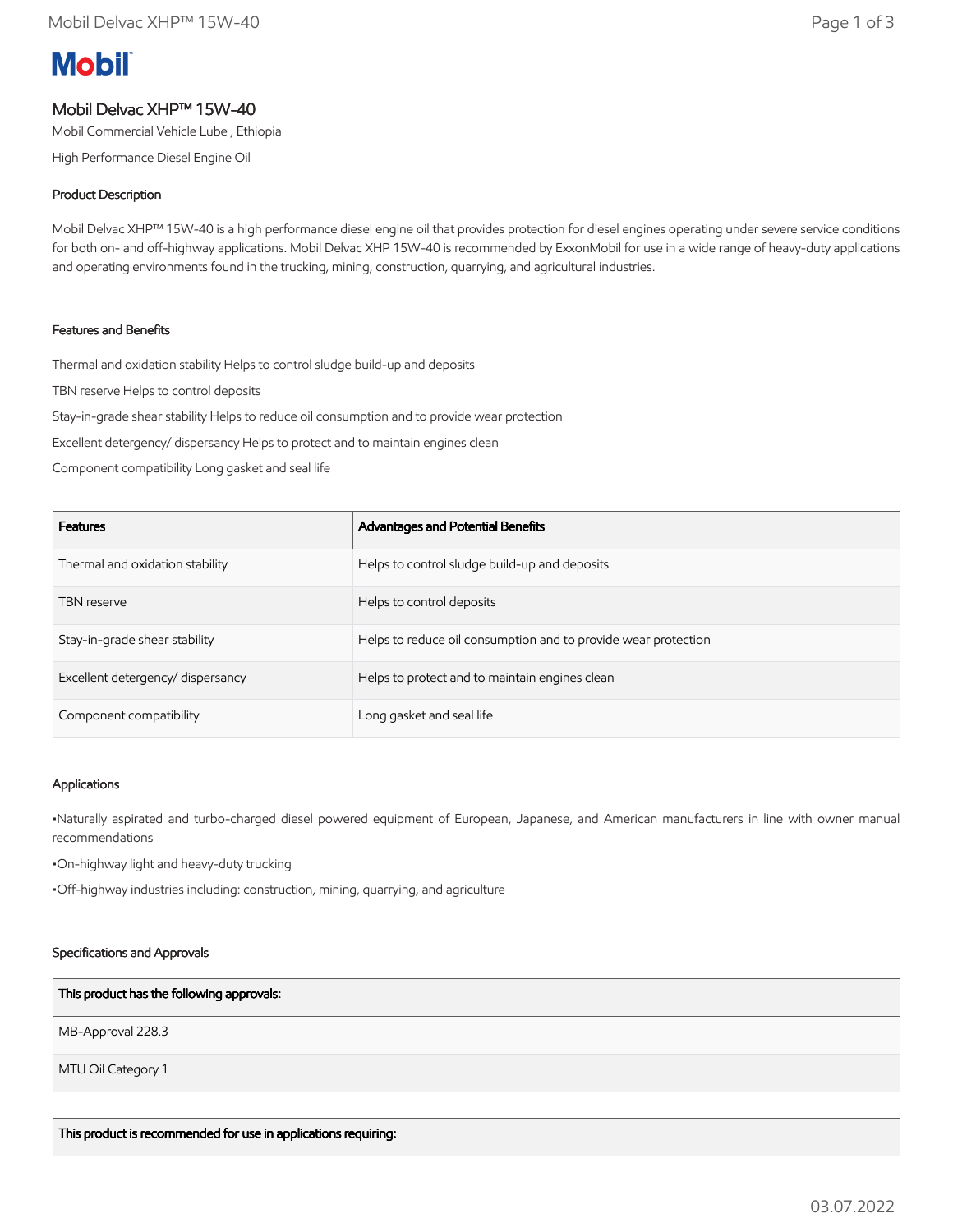# **Mobil**

# Mobil Delvac XHP™ 15W-40

Mobil Commercial Vehicle Lube , Ethiopia

High Performance Diesel Engine Oil

# Product Description

Mobil Delvac XHP™ 15W-40 is a high performance diesel engine oil that provides protection for diesel engines operating under severe service conditions for both on- and off-highway applications. Mobil Delvac XHP 15W-40 is recommended by ExxonMobil for use in a wide range of heavy-duty applications and operating environments found in the trucking, mining, construction, quarrying, and agricultural industries.

# Features and Benefits

Thermal and oxidation stability Helps to control sludge build-up and deposits

TBN reserve Helps to control deposits

Stay-in-grade shear stability Helps to reduce oil consumption and to provide wear protection

Excellent detergency/ dispersancy Helps to protect and to maintain engines clean

Component compatibility Long gasket and seal life

| <b>Features</b>                   | Advantages and Potential Benefits                              |
|-----------------------------------|----------------------------------------------------------------|
| Thermal and oxidation stability   | Helps to control sludge build-up and deposits                  |
| <b>TBN</b> reserve                | Helps to control deposits                                      |
| Stay-in-grade shear stability     | Helps to reduce oil consumption and to provide wear protection |
| Excellent detergency/ dispersancy | Helps to protect and to maintain engines clean                 |
| Component compatibility           | Long gasket and seal life                                      |

#### Applications

•Naturally aspirated and turbo-charged diesel powered equipment of European, Japanese, and American manufacturers in line with owner manual recommendations

•On-highway light and heavy-duty trucking

•Off-highway industries including: construction, mining, quarrying, and agriculture

#### Specifications and Approvals

#### This product has the following approvals:

MB-Approval 228.3

MTU Oil Category 1

This product is recommended for use in applications requiring: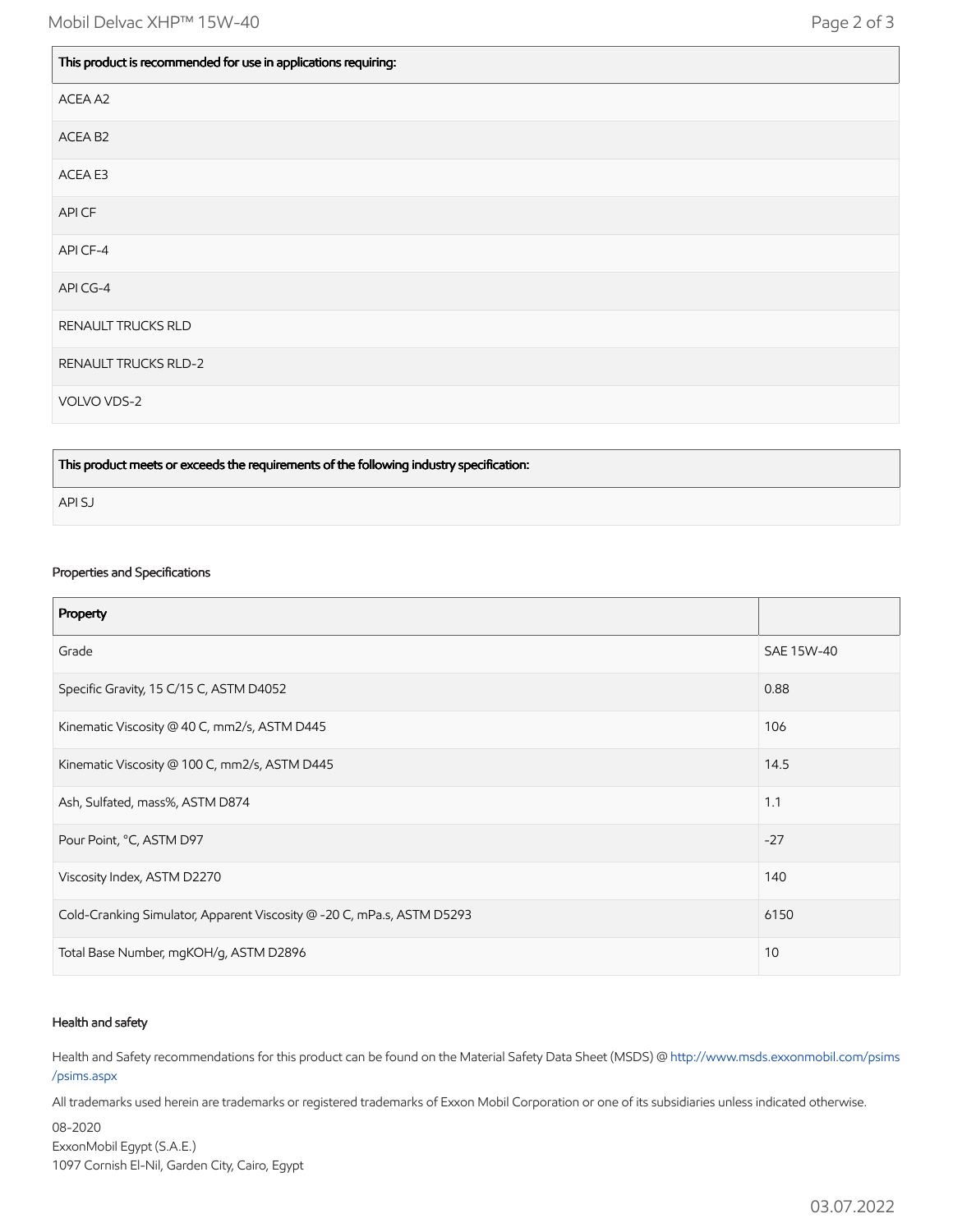| This product is recommended for use in applications requiring: |  |
|----------------------------------------------------------------|--|
| ACEA A2                                                        |  |
| ACEA B2                                                        |  |
| ACEA E3                                                        |  |
| API CF                                                         |  |
| API CF-4                                                       |  |
| API CG-4                                                       |  |
| RENAULT TRUCKS RLD                                             |  |
| <b>RENAULT TRUCKS RLD-2</b>                                    |  |
| VOLVO VDS-2                                                    |  |

This product meets or exceeds the requirements of the following industry specification:

API SJ

#### Properties and Specifications

| Property                                                               |            |
|------------------------------------------------------------------------|------------|
| Grade                                                                  | SAE 15W-40 |
| Specific Gravity, 15 C/15 C, ASTM D4052                                | 0.88       |
| Kinematic Viscosity @ 40 C, mm2/s, ASTM D445                           | 106        |
| Kinematic Viscosity @ 100 C, mm2/s, ASTM D445                          | 14.5       |
| Ash, Sulfated, mass%, ASTM D874                                        | 1.1        |
| Pour Point, °C, ASTM D97                                               | $-27$      |
| Viscosity Index, ASTM D2270                                            | 140        |
| Cold-Cranking Simulator, Apparent Viscosity @ -20 C, mPa.s, ASTM D5293 | 6150       |
| Total Base Number, mgKOH/g, ASTM D2896                                 | 10         |

#### Health and safety

Health and Safety recommendations for this product can be found on the Material Safety Data Sheet (MSDS) @ [http://www.msds.exxonmobil.com/psims](http://www.msds.exxonmobil.com/psims/psims.aspx) /psims.aspx

All trademarks used herein are trademarks or registered trademarks of Exxon Mobil Corporation or one of its subsidiaries unless indicated otherwise.

08-2020 ExxonMobil Egypt (S.A.E.) 1097 Cornish El-Nil, Garden City, Cairo, Egypt